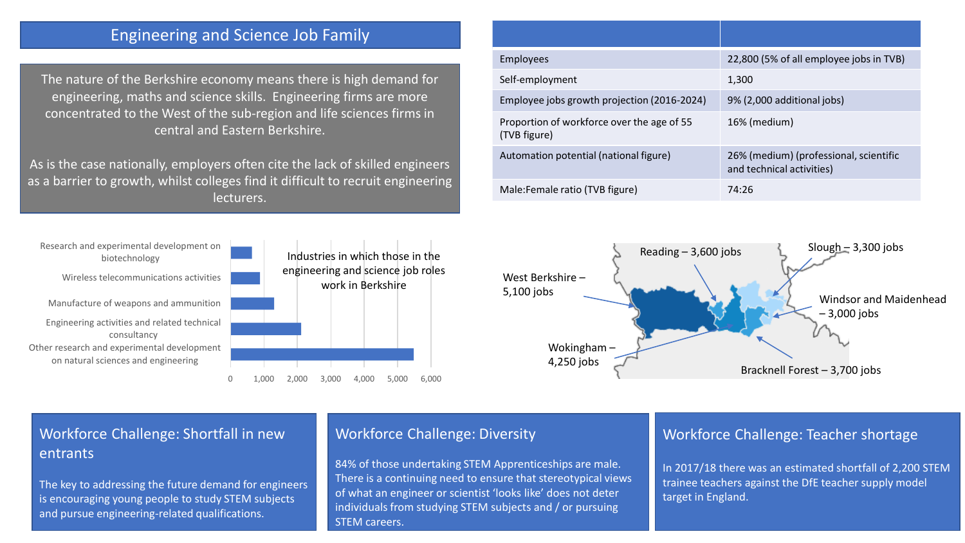# Engineering and Science Job Family

The nature of the Berkshire economy means there is high demand for engineering, maths and science skills. Engineering firms are more concentrated to the West of the sub-region and life sciences firms in central and Eastern Berkshire.

As is the case nationally, employers often cite the lack of skilled engineers as a barrier to growth, whilst colleges find it difficult to recruit engineering lecturers.



| Industries in which those in the<br>engineering and science job roles<br>work in Berkshire |
|--------------------------------------------------------------------------------------------|
|                                                                                            |
|                                                                                            |

| <b>Employees</b>                                           | 22,800 (5% of all employee jobs in TVB)                             |  |
|------------------------------------------------------------|---------------------------------------------------------------------|--|
| Self-employment                                            | 1,300                                                               |  |
| Employee jobs growth projection (2016-2024)                | 9% (2,000 additional jobs)                                          |  |
| Proportion of workforce over the age of 55<br>(TVB figure) | 16% (medium)                                                        |  |
| Automation potential (national figure)                     | 26% (medium) (professional, scientific<br>and technical activities) |  |
| Male: Female ratio (TVB figure)                            | 74:26                                                               |  |



# Workforce Challenge: Shortfall in new entrants

The key to addressing the future demand for engineers is encouraging young people to study STEM subjects and pursue engineering-related qualifications.

#### Workforce Challenge: Diversity

84% of those undertaking STEM Apprenticeships are male. There is a continuing need to ensure that stereotypical views of what an engineer or scientist 'looks like' does not deter individuals from studying STEM subjects and / or pursuing STEM careers.

## Workforce Challenge: Teacher shortage

In 2017/18 there was an estimated shortfall of 2,200 STEM trainee teachers against the DfE teacher supply model target in England.